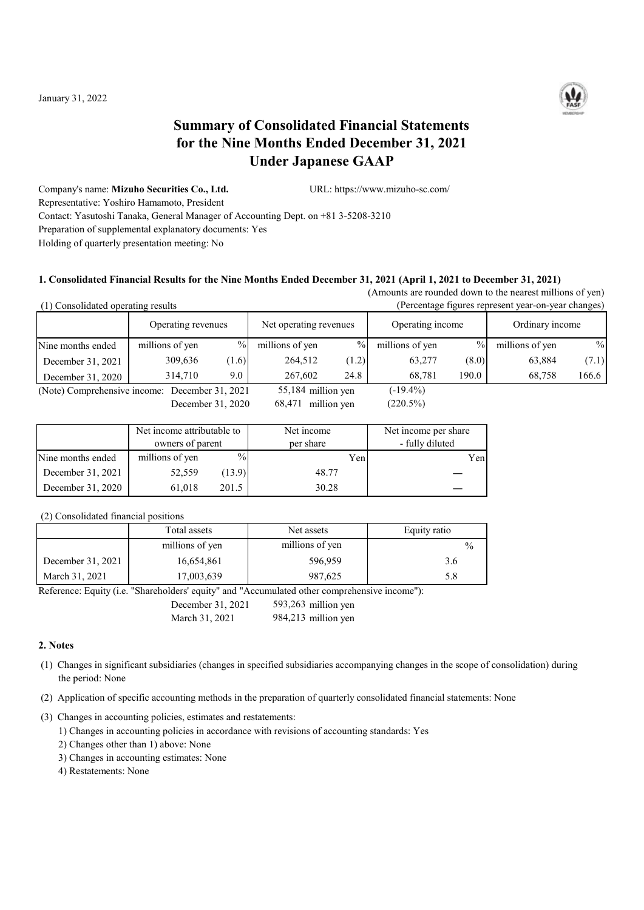

# **Summary of Consolidated Financial Statements for the Nine Months Ended December 31, 2021 Under Japanese GAAP**

Company's name: **Mizuho Securities Co., Ltd.** URL: https://www.mizuho-sc.com/ Representative: Yoshiro Hamamoto, President Contact: Yasutoshi Tanaka, General Manager of Accounting Dept. on +81 3-5208-3210 Preparation of supplemental explanatory documents: Yes Holding of quarterly presentation meeting: No

### **1. Consolidated Financial Results for the Nine Months Ended December 31, 2021 (April 1, 2021 to December 31, 2021)**

(Amounts are rounded down to the nearest millions of yen) (1) Consolidated operating results (Percentage figures represent year-on-year changes)

|                                                | 1) Consondated operating results<br>тегения притех гергезент усаг-он-усаг спандез) |               |                        |       |                  |       |                 |       |
|------------------------------------------------|------------------------------------------------------------------------------------|---------------|------------------------|-------|------------------|-------|-----------------|-------|
|                                                | Operating revenues                                                                 |               | Net operating revenues |       | Operating income |       | Ordinary income |       |
| Nine months ended                              | millions of yen                                                                    | $\%$          | millions of yen        | $\%$  | millions of yen  | $\%$  | millions of yen | $\%$  |
| December 31, 2021                              | 309,636                                                                            | (1.6)         | 264,512                | (1.2) | 63,277           | (8.0) | 63,884          | (7.1) |
| December 31, 2020                              | 314,710                                                                            | $9.0^{\circ}$ | 267,602                | 24.8  | 68.781           | 190.0 | 68.758          | 166.6 |
| (Note) Comprehensive income: December 31, 2021 |                                                                                    |               | $55,184$ million yen   |       | $(-19.4\%)$      |       |                 |       |
|                                                |                                                                                    |               |                        |       |                  |       |                 |       |

December 31, 2020 68,471 million yen (220.5%)

|                   | Net income attributable to<br>owners of parent |               | Net income<br>per share | Net income per share<br>- fully diluted |
|-------------------|------------------------------------------------|---------------|-------------------------|-----------------------------------------|
| Nine months ended | millions of yen                                | $\frac{0}{0}$ | Yen                     | Yen                                     |
| December 31, 2021 | 52,559                                         | (13.9)        | 48.77                   |                                         |
| December 31, 2020 | 61,018                                         | 201.5         | 30.28                   |                                         |

(2) Consolidated financial positions

|                   | Total assets    | Net assets      | Equity ratio  |
|-------------------|-----------------|-----------------|---------------|
|                   | millions of yen | millions of yen | $\frac{0}{0}$ |
| December 31, 2021 | 16,654,861      | 596,959         | 3.6           |
| March 31, 2021    | 17,003,639      | 987,625         | 5.8           |

Reference: Equity (i.e. "Shareholders' equity" and "Accumulated other comprehensive income"):

December 31, 2021 593,263 million yen

March 31, 2021 984, 213 million yen

#### **2. Notes**

- (1) Changes in significant subsidiaries (changes in specified subsidiaries accompanying changes in the scope of consolidation) during the period: None
- (2) Application of specific accounting methods in the preparation of quarterly consolidated financial statements: None

(3) Changes in accounting policies, estimates and restatements:

- 1) Changes in accounting policies in accordance with revisions of accounting standards: Yes
- 2) Changes other than 1) above: None
- 3) Changes in accounting estimates: None
- 4) Restatements: None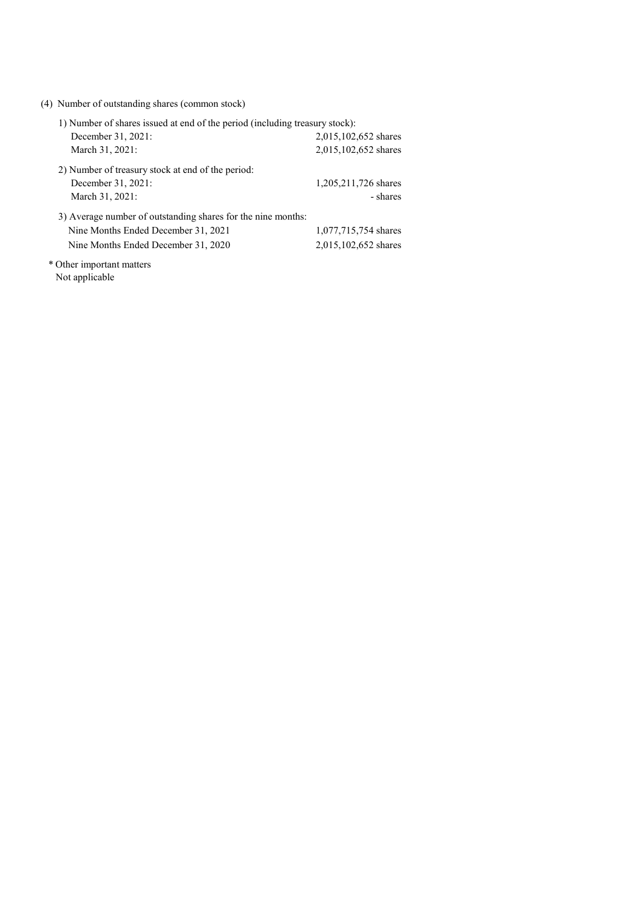(4) Number of outstanding shares (common stock)

| 1) Number of shares issued at end of the period (including treasury stock): |                      |  |  |  |
|-----------------------------------------------------------------------------|----------------------|--|--|--|
| December 31, 2021:                                                          | 2,015,102,652 shares |  |  |  |
| March 31, 2021:                                                             | 2,015,102,652 shares |  |  |  |
| 2) Number of treasury stock at end of the period:                           |                      |  |  |  |
| December 31, 2021:                                                          | 1,205,211,726 shares |  |  |  |
| March 31, 2021:                                                             | - shares             |  |  |  |
| 3) Average number of outstanding shares for the nine months:                |                      |  |  |  |
| Nine Months Ended December 31, 2021                                         | 1,077,715,754 shares |  |  |  |
| Nine Months Ended December 31, 2020                                         | 2,015,102,652 shares |  |  |  |

\* Other important matters Not applicable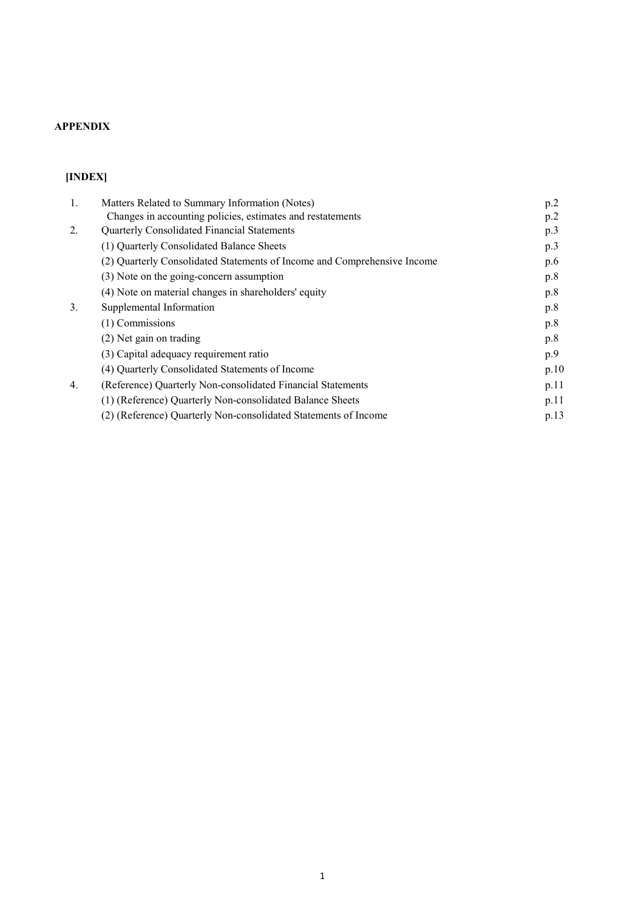## **APPENDIX**

# **[INDEX]**

| 1. | Matters Related to Summary Information (Notes)                           | p.2  |
|----|--------------------------------------------------------------------------|------|
|    | Changes in accounting policies, estimates and restatements               | p.2  |
| 2. | Quarterly Consolidated Financial Statements                              | p.3  |
|    | (1) Quarterly Consolidated Balance Sheets                                | p.3  |
|    | (2) Quarterly Consolidated Statements of Income and Comprehensive Income | p.6  |
|    | (3) Note on the going-concern assumption                                 | p.8  |
|    | (4) Note on material changes in shareholders' equity                     | p.8  |
| 3. | Supplemental Information                                                 | p.8  |
|    | (1) Commissions                                                          | p.8  |
|    | (2) Net gain on trading                                                  | p.8  |
|    | (3) Capital adequacy requirement ratio                                   | p.9  |
|    | (4) Quarterly Consolidated Statements of Income                          | p.10 |
| 4. | (Reference) Quarterly Non-consolidated Financial Statements              | p.11 |
|    | (1) (Reference) Quarterly Non-consolidated Balance Sheets                | p.11 |
|    | (2) (Reference) Quarterly Non-consolidated Statements of Income          | p.13 |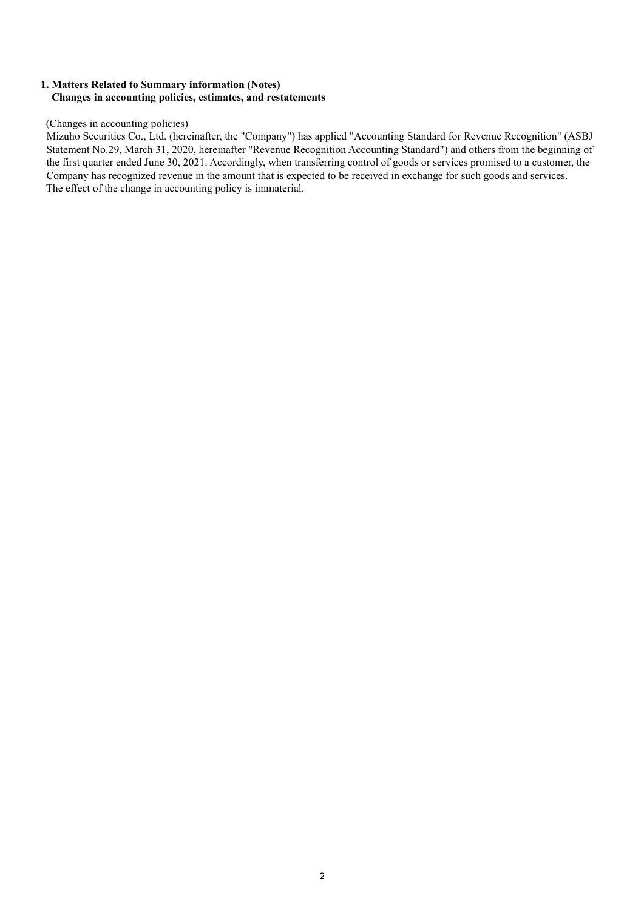### **1. Matters Related to Summary information (Notes) Changes in accounting policies, estimates, and restatements**

#### (Changes in accounting policies)

Mizuho Securities Co., Ltd. (hereinafter, the "Company") has applied "Accounting Standard for Revenue Recognition" (ASBJ Statement No.29, March 31, 2020, hereinafter "Revenue Recognition Accounting Standard") and others from the beginning of the first quarter ended June 30, 2021. Accordingly, when transferring control of goods or services promised to a customer, the Company has recognized revenue in the amount that is expected to be received in exchange for such goods and services. The effect of the change in accounting policy is immaterial.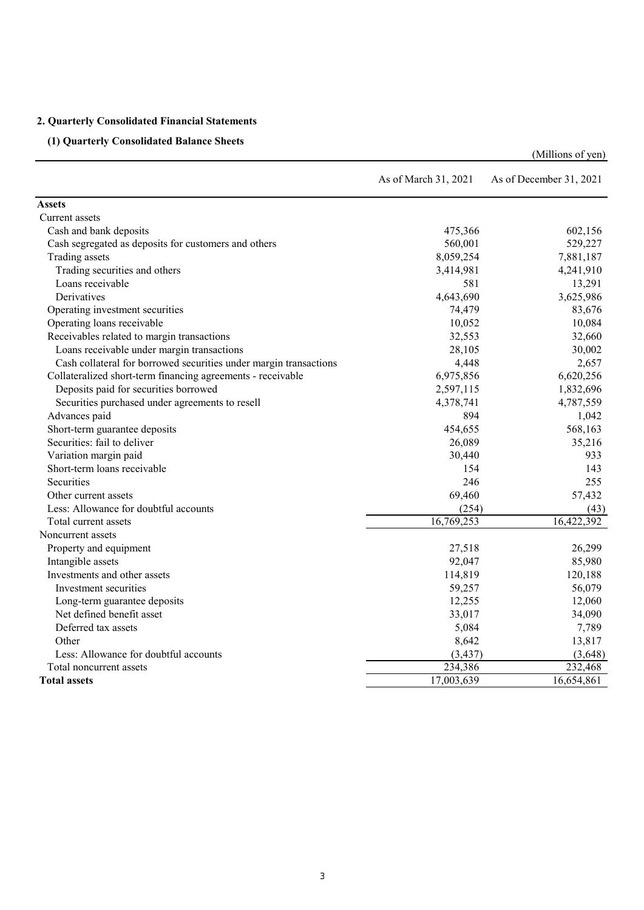## **2. Quarterly Consolidated Financial Statements**

## **(1) Quarterly Consolidated Balance Sheets**

|                                                                   | As of March 31, 2021 | As of December 31, 2021 |
|-------------------------------------------------------------------|----------------------|-------------------------|
| <b>Assets</b>                                                     |                      |                         |
| Current assets                                                    |                      |                         |
| Cash and bank deposits                                            | 475,366              | 602,156                 |
| Cash segregated as deposits for customers and others              | 560,001              | 529,227                 |
| Trading assets                                                    | 8,059,254            | 7,881,187               |
| Trading securities and others                                     | 3,414,981            | 4,241,910               |
| Loans receivable                                                  | 581                  | 13,291                  |
| Derivatives                                                       | 4,643,690            | 3,625,986               |
| Operating investment securities                                   | 74,479               | 83,676                  |
| Operating loans receivable                                        | 10,052               | 10,084                  |
| Receivables related to margin transactions                        | 32,553               | 32,660                  |
| Loans receivable under margin transactions                        | 28,105               | 30,002                  |
| Cash collateral for borrowed securities under margin transactions | 4,448                | 2,657                   |
| Collateralized short-term financing agreements - receivable       | 6,975,856            | 6,620,256               |
| Deposits paid for securities borrowed                             | 2,597,115            | 1,832,696               |
| Securities purchased under agreements to resell                   | 4,378,741            | 4,787,559               |
| Advances paid                                                     | 894                  | 1,042                   |
| Short-term guarantee deposits                                     | 454,655              | 568,163                 |
| Securities: fail to deliver                                       | 26,089               | 35,216                  |
| Variation margin paid                                             | 30,440               | 933                     |
| Short-term loans receivable                                       | 154                  | 143                     |
| Securities                                                        | 246                  | 255                     |
| Other current assets                                              | 69,460               | 57,432                  |
| Less: Allowance for doubtful accounts                             | (254)                | (43)                    |
| Total current assets                                              | 16,769,253           | 16,422,392              |
| Noncurrent assets                                                 |                      |                         |
| Property and equipment                                            | 27,518               | 26,299                  |
| Intangible assets                                                 | 92,047               | 85,980                  |
| Investments and other assets                                      | 114,819              | 120,188                 |
| Investment securities                                             | 59,257               | 56,079                  |
| Long-term guarantee deposits                                      | 12,255               | 12,060                  |
| Net defined benefit asset                                         | 33,017               | 34,090                  |
| Deferred tax assets                                               | 5,084                | 7,789                   |
| Other                                                             | 8,642                | 13,817                  |
| Less: Allowance for doubtful accounts                             | (3, 437)             | (3,648)                 |
| Total noncurrent assets                                           | 234,386              | 232,468                 |
| <b>Total assets</b>                                               | 17,003,639           | 16,654,861              |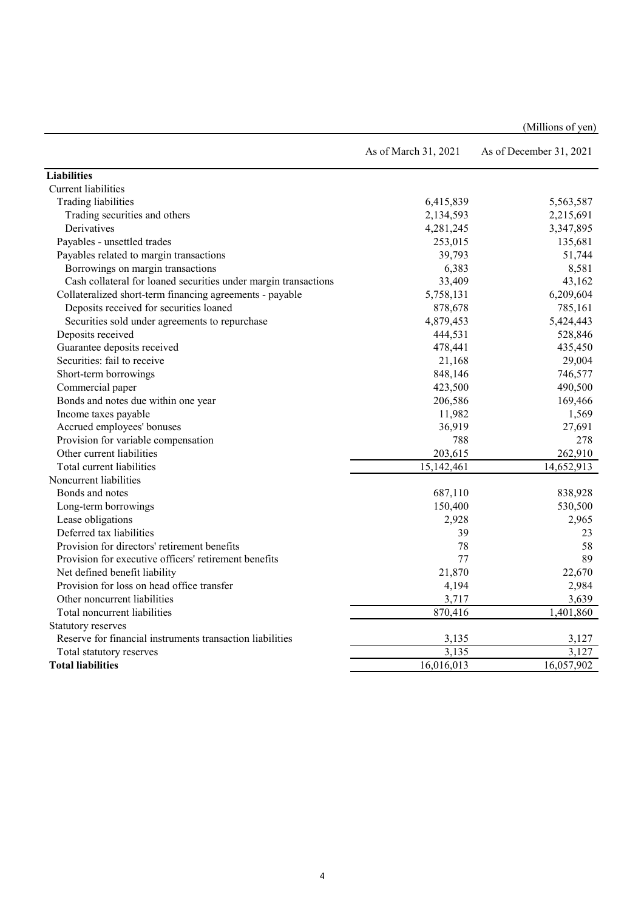|                                                                 | As of March 31, 2021    | As of December 31, 2021 |
|-----------------------------------------------------------------|-------------------------|-------------------------|
| <b>Liabilities</b>                                              |                         |                         |
| <b>Current</b> liabilities                                      |                         |                         |
| Trading liabilities                                             | 6,415,839               | 5,563,587               |
| Trading securities and others                                   | 2,134,593               | 2,215,691               |
| Derivatives                                                     | 4,281,245               | 3,347,895               |
| Payables - unsettled trades                                     | 253,015                 | 135,681                 |
| Payables related to margin transactions                         | 39,793                  | 51,744                  |
| Borrowings on margin transactions                               | 6,383                   | 8,581                   |
| Cash collateral for loaned securities under margin transactions | 33,409                  | 43,162                  |
| Collateralized short-term financing agreements - payable        | 5,758,131               | 6,209,604               |
| Deposits received for securities loaned                         | 878,678                 | 785,161                 |
| Securities sold under agreements to repurchase                  | 4,879,453               | 5,424,443               |
| Deposits received                                               | 444,531                 | 528,846                 |
| Guarantee deposits received                                     | 478,441                 | 435,450                 |
| Securities: fail to receive                                     | 21,168                  | 29,004                  |
| Short-term borrowings                                           | 848,146                 | 746,577                 |
| Commercial paper                                                | 423,500                 | 490,500                 |
| Bonds and notes due within one year                             | 206,586                 | 169,466                 |
| Income taxes payable                                            | 11,982                  | 1,569                   |
| Accrued employees' bonuses                                      | 36,919                  | 27,691                  |
| Provision for variable compensation                             | 788                     | 278                     |
| Other current liabilities                                       | 203,615                 | 262,910                 |
| Total current liabilities                                       | 15,142,461              | 14,652,913              |
| Noncurrent liabilities                                          |                         |                         |
| Bonds and notes                                                 | 687,110                 | 838,928                 |
| Long-term borrowings                                            | 150,400                 | 530,500                 |
| Lease obligations                                               | 2,928                   | 2,965                   |
| Deferred tax liabilities                                        | 39                      | 23                      |
| Provision for directors' retirement benefits                    | 78                      | 58                      |
| Provision for executive officers' retirement benefits           | 77                      | 89                      |
| Net defined benefit liability                                   | 21,870                  | 22,670                  |
| Provision for loss on head office transfer                      | 4,194                   | 2,984                   |
| Other noncurrent liabilities                                    | 3,717                   | 3,639                   |
| Total noncurrent liabilities                                    | 870,416                 | 1,401,860               |
| Statutory reserves                                              |                         |                         |
| Reserve for financial instruments transaction liabilities       | 3,135                   | 3,127                   |
| Total statutory reserves                                        | 3,135                   | 3,127                   |
| <b>Total liabilities</b>                                        | $\overline{16,016,013}$ | 16,057,902              |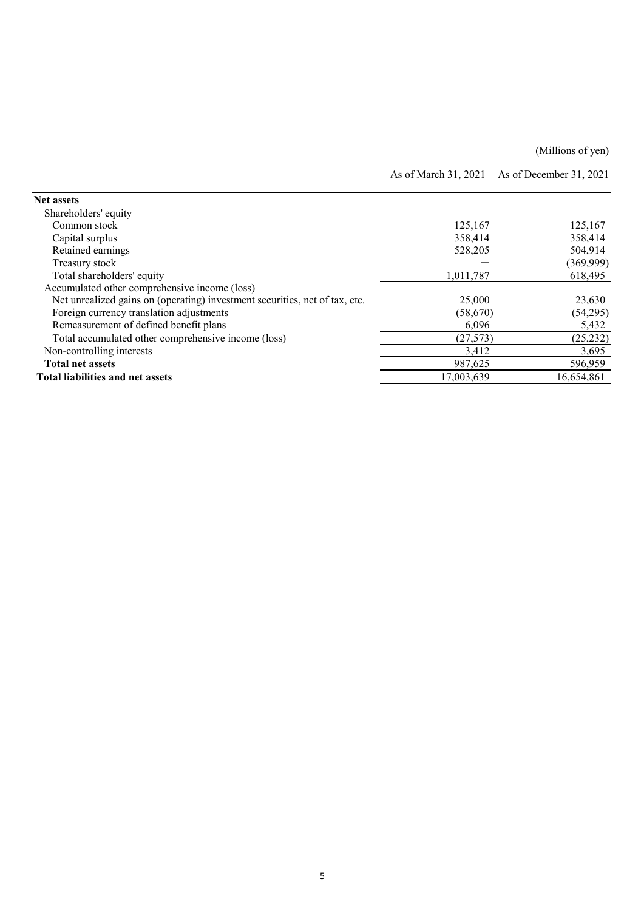|                                                                             |            | As of March 31, 2021 As of December 31, 2021 |
|-----------------------------------------------------------------------------|------------|----------------------------------------------|
| <b>Net assets</b>                                                           |            |                                              |
| Shareholders' equity                                                        |            |                                              |
| Common stock                                                                | 125,167    | 125,167                                      |
| Capital surplus                                                             | 358,414    | 358,414                                      |
| Retained earnings                                                           | 528,205    | 504,914                                      |
| Treasury stock                                                              |            | (369,999)                                    |
| Total shareholders' equity                                                  | 1,011,787  | 618,495                                      |
| Accumulated other comprehensive income (loss)                               |            |                                              |
| Net unrealized gains on (operating) investment securities, net of tax, etc. | 25,000     | 23,630                                       |
| Foreign currency translation adjustments                                    | (58,670)   | (54,295)                                     |
| Remeasurement of defined benefit plans                                      | 6,096      | 5,432                                        |
| Total accumulated other comprehensive income (loss)                         | (27, 573)  | (25, 232)                                    |
| Non-controlling interests                                                   | 3,412      | 3,695                                        |
| <b>Total net assets</b>                                                     | 987,625    | 596,959                                      |
| <b>Total liabilities and net assets</b>                                     | 17,003,639 | 16,654,861                                   |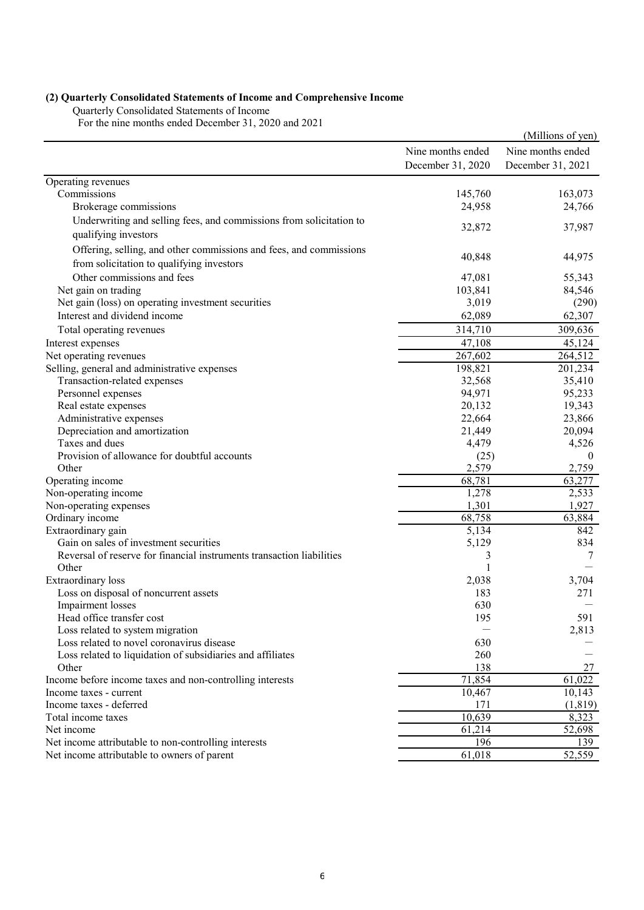# **(2) Quarterly Consolidated Statements of Income and Comprehensive Income**

Quarterly Consolidated Statements of Income

For the nine months ended December 31, 2020 and 2021

|                                                                                                                 |                   | (Millions of yen) |
|-----------------------------------------------------------------------------------------------------------------|-------------------|-------------------|
|                                                                                                                 | Nine months ended | Nine months ended |
|                                                                                                                 | December 31, 2020 | December 31, 2021 |
| Operating revenues                                                                                              |                   |                   |
| Commissions                                                                                                     | 145,760           | 163,073           |
| Brokerage commissions                                                                                           | 24,958            | 24,766            |
| Underwriting and selling fees, and commissions from solicitation to<br>qualifying investors                     | 32,872            | 37,987            |
| Offering, selling, and other commissions and fees, and commissions<br>from solicitation to qualifying investors | 40,848            | 44,975            |
| Other commissions and fees                                                                                      | 47,081            | 55,343            |
| Net gain on trading                                                                                             | 103,841           | 84,546            |
| Net gain (loss) on operating investment securities                                                              | 3,019             | (290)             |
| Interest and dividend income                                                                                    | 62,089            | 62,307            |
| Total operating revenues                                                                                        | 314,710           | 309,636           |
|                                                                                                                 |                   | 45,124            |
| Interest expenses                                                                                               | 47,108<br>267,602 |                   |
| Net operating revenues                                                                                          |                   | 264,512           |
| Selling, general and administrative expenses                                                                    | 198,821           | 201,234<br>35,410 |
| Transaction-related expenses                                                                                    | 32,568<br>94,971  | 95,233            |
| Personnel expenses<br>Real estate expenses                                                                      | 20,132            | 19,343            |
| Administrative expenses                                                                                         | 22,664            | 23,866            |
| Depreciation and amortization                                                                                   | 21,449            | 20,094            |
| Taxes and dues                                                                                                  | 4,479             | 4,526             |
| Provision of allowance for doubtful accounts                                                                    | (25)              | $\theta$          |
| Other                                                                                                           | 2,579             | 2,759             |
| Operating income                                                                                                | 68,781            | 63,277            |
| Non-operating income                                                                                            | 1,278             | 2,533             |
| Non-operating expenses                                                                                          | 1,301             | 1,927             |
| Ordinary income                                                                                                 | 68,758            | 63,884            |
| Extraordinary gain                                                                                              | 5,134             | 842               |
| Gain on sales of investment securities                                                                          | 5,129             | 834               |
| Reversal of reserve for financial instruments transaction liabilities                                           | 3                 | 7                 |
| Other                                                                                                           | $\mathbf{1}$      |                   |
| Extraordinary loss                                                                                              | 2,038             | 3,704             |
| Loss on disposal of noncurrent assets                                                                           | 183               | 271               |
| Impairment losses                                                                                               | 630               |                   |
| Head office transfer cost                                                                                       | 195               | 591               |
| Loss related to system migration                                                                                |                   | 2,813             |
| Loss related to novel coronavirus disease                                                                       | 630               |                   |
| Loss related to liquidation of subsidiaries and affiliates                                                      | 260               |                   |
| Other                                                                                                           | 138               | 27                |
| Income before income taxes and non-controlling interests                                                        | 71,854            | 61,022            |
| Income taxes - current                                                                                          | 10,467            | 10,143            |
| Income taxes - deferred                                                                                         | 171               | (1, 819)          |
| Total income taxes                                                                                              | 10,639            | 8,323             |
| Net income                                                                                                      | 61,214            | 52,698            |
| Net income attributable to non-controlling interests                                                            | 196               | 139               |
| Net income attributable to owners of parent                                                                     | 61,018            | 52,559            |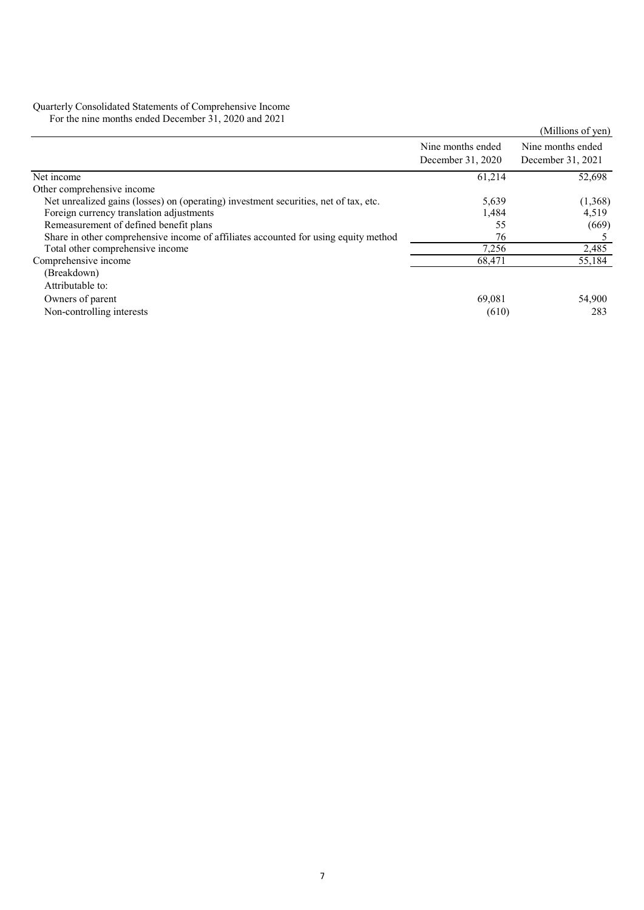#### Quarterly Consolidated Statements of Comprehensive Income

For the nine months ended December 31, 2020 and 2021

| $1$ of the film inorms ended December $31, 2020$ and $2021$                          |                   | (Millions of yen) |
|--------------------------------------------------------------------------------------|-------------------|-------------------|
|                                                                                      | Nine months ended | Nine months ended |
|                                                                                      | December 31, 2020 | December 31, 2021 |
| Net income                                                                           | 61,214            | 52,698            |
| Other comprehensive income                                                           |                   |                   |
| Net unrealized gains (losses) on (operating) investment securities, net of tax, etc. | 5,639             | (1,368)           |
| Foreign currency translation adjustments                                             | 1,484             | 4,519             |
| Remeasurement of defined benefit plans                                               | 55                | (669)             |
| Share in other comprehensive income of affiliates accounted for using equity method  | 76                |                   |
| Total other comprehensive income                                                     | 7,256             | 2,485             |
| Comprehensive income                                                                 | 68,471            | 55,184            |
| (Breakdown)                                                                          |                   |                   |
| Attributable to:                                                                     |                   |                   |
| Owners of parent                                                                     | 69.081            | 54,900            |
| Non-controlling interests                                                            | (610)             | 283               |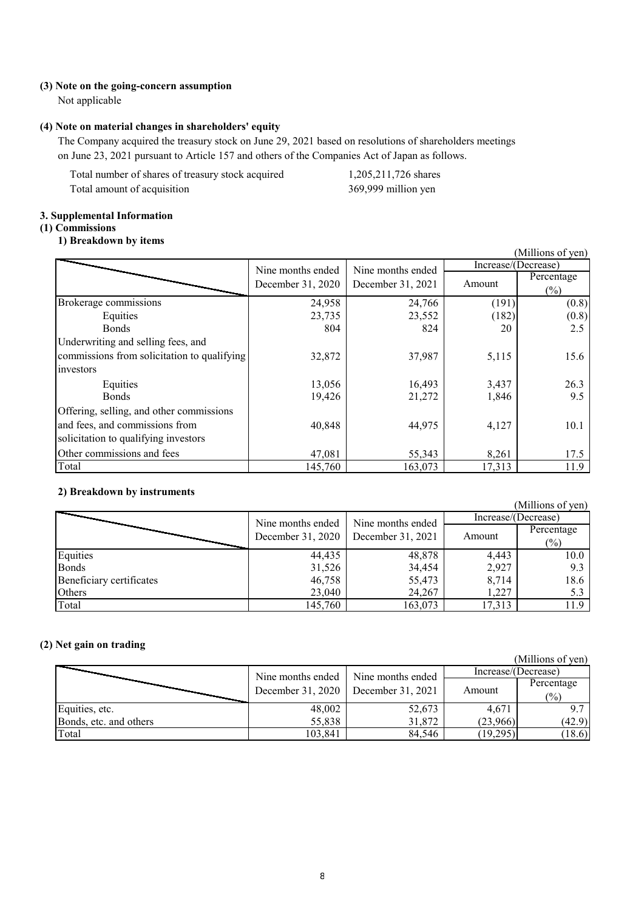#### **(3) Note on the going-concern assumption**

Not applicable

#### **(4) Note on material changes in shareholders' equity**

The Company acquired the treasury stock on June 29, 2021 based on resolutions of shareholders meetings on June 23, 2021 pursuant to Article 157 and others of the Companies Act of Japan as follows.

Total number of shares of treasury stock acquired 1,205,211,726 shares Total amount of acquisition 369,999 million yen

### **3. Supplemental Information**

## **(1) Commissions**

### **1) Breakdown by items**

|                                             |                   |                   |                     | (Millions of yen) |
|---------------------------------------------|-------------------|-------------------|---------------------|-------------------|
|                                             | Nine months ended | Nine months ended | Increase/(Decrease) |                   |
|                                             |                   |                   | Amount              | Percentage        |
|                                             | December 31, 2020 | December 31, 2021 |                     | $(\%)$            |
| Brokerage commissions                       | 24,958            | 24,766            | (191)               | (0.8)             |
| Equities                                    | 23,735            | 23,552            | (182)               | (0.8)             |
| <b>Bonds</b>                                | 804               | 824               | 20                  | 2.5               |
| Underwriting and selling fees, and          |                   |                   |                     |                   |
| commissions from solicitation to qualifying | 32,872            | 37,987            | 5,115               | 15.6              |
| investors                                   |                   |                   |                     |                   |
| Equities                                    | 13,056            | 16,493            | 3,437               | 26.3              |
| <b>Bonds</b>                                | 19,426            | 21,272            | 1,846               | 9.5               |
| Offering, selling, and other commissions    |                   |                   |                     |                   |
| and fees, and commissions from              | 40,848            | 44,975            | 4,127               | 10.1              |
| solicitation to qualifying investors        |                   |                   |                     |                   |
| Other commissions and fees                  | 47,081            | 55,343            | 8,261               | 17.5              |
| Total                                       | 145,760           | 163,073           | 17,313              | 11.9              |

### **2) Breakdown by instruments**

(Millions of yen)<br>Increase/(Decrease) Equities 10.0 Bonds 31,526 34,454 2,927 9.3 Beneficiary certificates 46,758 55,473 8,714 18.6<br>Others 23,040 24,267 1,227 5.3 Others 23,040 24,267 1,227 5.3 Total 145,760 163,073 17,313 11.9 Amount Percentage  $(%)$ Nine months ended Nine months ended Increase/(Decrease) December 31, 2020 December 31, 2021

### **(2) Net gain on trading**

|                        |                   |                                     |                     | (Millions of yen)            |
|------------------------|-------------------|-------------------------------------|---------------------|------------------------------|
|                        |                   | Nine months ended Nine months ended | Increase/(Decrease) |                              |
|                        | December 31, 2020 | December $31, 2021$                 | Amount              | Percentage<br>$\binom{0}{0}$ |
| Equities, etc.         | 48,002            | 52,673                              | 4,671               | 9.7                          |
| Bonds, etc. and others | 55,838            | 31,872                              | (23,966)            | (42.9)                       |
| Total                  | 103,841           | 84,546                              | (19,295)            | (18.6)                       |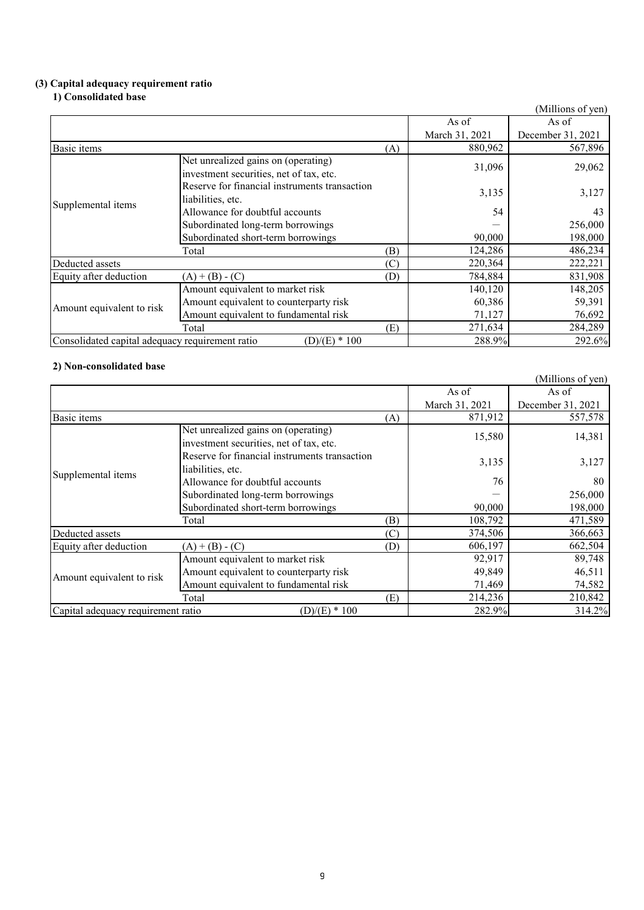### **(3) Capital adequacy requirement ratio**

#### **1) Consolidated base**

|                                                 |                                                                                |     |                | (Millions of yen) |
|-------------------------------------------------|--------------------------------------------------------------------------------|-----|----------------|-------------------|
|                                                 |                                                                                |     | As of          | As of             |
|                                                 |                                                                                |     | March 31, 2021 | December 31, 2021 |
| Basic items                                     |                                                                                | (A) | 880,962        | 567,896           |
| Supplemental items                              | Net unrealized gains on (operating)<br>investment securities, net of tax, etc. |     | 31,096         | 29,062            |
|                                                 | Reserve for financial instruments transaction<br>liabilities, etc.             |     | 3,135          | 3,127             |
|                                                 | Allowance for doubtful accounts                                                |     | 54             | 43                |
|                                                 | Subordinated long-term borrowings                                              |     |                | 256,000           |
|                                                 | Subordinated short-term borrowings                                             |     | 90,000         | 198,000           |
|                                                 | Total                                                                          | (B) | 124,286        | 486,234           |
| Deducted assets                                 |                                                                                | (C) | 220,364        | 222,221           |
| Equity after deduction                          | $(A) + (B) - (C)$                                                              | (D) | 784,884        | 831,908           |
| Amount equivalent to risk                       | Amount equivalent to market risk                                               |     | 140,120        | 148,205           |
|                                                 | Amount equivalent to counterparty risk                                         |     | 60,386         | 59,391            |
|                                                 | Amount equivalent to fundamental risk                                          |     | 71,127         | 76,692            |
|                                                 | Total                                                                          | (E) | 271,634        | 284,289           |
| Consolidated capital adequacy requirement ratio | $(D)/(E) * 100$                                                                |     | 288.9%         | 292.6%            |

## **2) Non-consolidated base**

| 4) гон-сонзондана разе             |                                                                                |     |                | (Millions of yen) |
|------------------------------------|--------------------------------------------------------------------------------|-----|----------------|-------------------|
|                                    |                                                                                |     | As of          | As of             |
|                                    |                                                                                |     | March 31, 2021 | December 31, 2021 |
| Basic items                        |                                                                                | (A) | 871,912        | 557,578           |
|                                    | Net unrealized gains on (operating)<br>investment securities, net of tax, etc. |     | 15,580         | 14,381            |
|                                    | Reserve for financial instruments transaction<br>liabilities, etc.             |     | 3,135          | 3,127             |
| Supplemental items                 | Allowance for doubtful accounts                                                |     | 76             | 80                |
|                                    | Subordinated long-term borrowings                                              |     |                | 256,000           |
|                                    | Subordinated short-term borrowings                                             |     | 90,000         | 198,000           |
|                                    | Total                                                                          | (B) | 108,792        | 471,589           |
| Deducted assets                    |                                                                                | (C) | 374,506        | 366,663           |
| Equity after deduction             | $(A) + (B) - (C)$                                                              | (D) | 606,197        | 662,504           |
| Amount equivalent to risk          | Amount equivalent to market risk                                               |     | 92,917         | 89,748            |
|                                    | Amount equivalent to counterparty risk                                         |     | 49,849         | 46,511            |
|                                    | Amount equivalent to fundamental risk                                          |     | 71,469         | 74,582            |
|                                    | Total                                                                          | (E) | 214,236        | 210,842           |
| Capital adequacy requirement ratio | $(D)/(E) * 100$                                                                |     | 282.9%         | 314.2%            |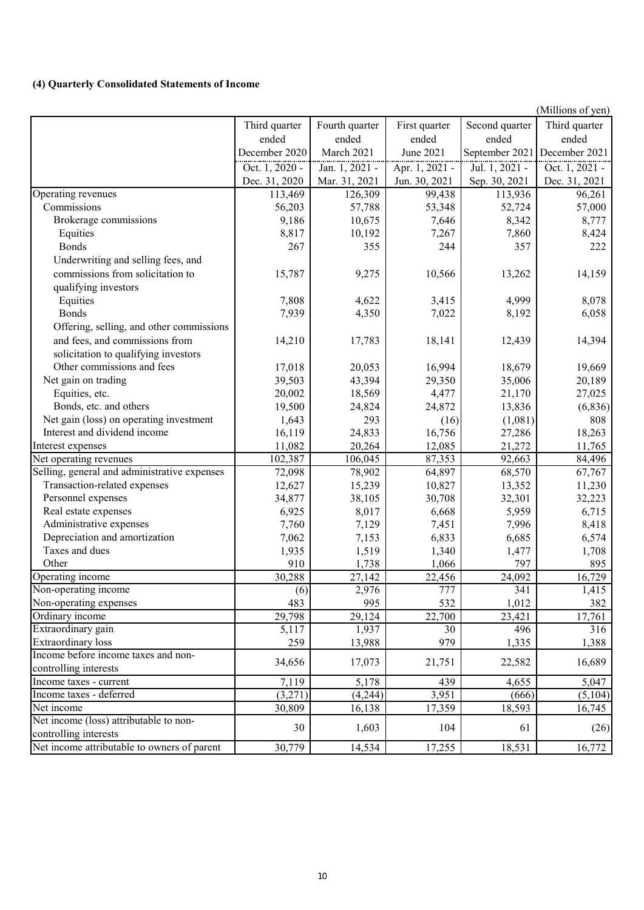## **(4) Quarterly Consolidated Statements of Income**

|                                              |                |                |                |                     | (Millions of yen) |
|----------------------------------------------|----------------|----------------|----------------|---------------------|-------------------|
|                                              | Third quarter  | Fourth quarter | First quarter  | Second quarter      | Third quarter     |
|                                              | ended          | ended          | ended          | ended               | ended             |
|                                              | December 2020  | March 2021     | June 2021      | September 2021      | December 2021     |
|                                              | Oct. 1, 2020 - | Jan. 1, 2021 - | Apr. 1, 2021 - | Jul. 1, 2021 -      | Oct. $1, 2021$ -  |
|                                              | Dec. 31, 2020  | Mar. 31, 2021  | Jun. 30, 2021  | Sep. 30, 2021       | Dec. 31, 2021     |
| Operating revenues                           | 113,469        | 126,309        | 99,438         | 113,936             | 96,261            |
| Commissions                                  | 56,203         | 57,788         | 53,348         | 52,724              | 57,000            |
| Brokerage commissions                        | 9,186          | 10,675         | 7,646          | 8,342               | 8,777             |
| Equities                                     | 8,817          | 10,192         | 7,267          | 7,860               | 8,424             |
| <b>Bonds</b>                                 | 267            | 355            | 244            | 357                 | 222               |
| Underwriting and selling fees, and           |                |                |                |                     |                   |
| commissions from solicitation to             | 15,787         | 9,275          | 10,566         | 13,262              | 14,159            |
| qualifying investors                         |                |                |                |                     |                   |
| Equities                                     | 7,808          | 4,622          | 3,415          | 4,999               | 8,078             |
| <b>Bonds</b>                                 | 7,939          | 4,350          | 7,022          | 8,192               | 6,058             |
| Offering, selling, and other commissions     |                |                |                |                     |                   |
| and fees, and commissions from               | 14,210         | 17,783         | 18,141         | 12,439              | 14,394            |
| solicitation to qualifying investors         |                |                |                |                     |                   |
| Other commissions and fees                   | 17,018         | 20,053         | 16,994         | 18,679              | 19,669            |
| Net gain on trading                          | 39,503         | 43,394         | 29,350         | 35,006              | 20,189            |
| Equities, etc.                               | 20,002         | 18,569         | 4,477          | 21,170              | 27,025            |
| Bonds, etc. and others                       | 19,500         | 24,824         | 24,872         | 13,836              | (6,836)           |
| Net gain (loss) on operating investment      | 1,643          | 293            | (16)           | (1,081)             | 808               |
| Interest and dividend income                 | 16,119         | 24,833         | 16,756         | 27,286              | 18,263            |
| Interest expenses                            | 11,082         | 20,264         | 12,085         | 21,272              | 11,765            |
| Net operating revenues                       | 102,387        | 106,045        | 87,353         | 92,663              | 84,496            |
| Selling, general and administrative expenses | 72,098         | 78,902         | 64,897         | 68,570              | 67,767            |
| Transaction-related expenses                 | 12,627         | 15,239         | 10,827         | 13,352              | 11,230            |
| Personnel expenses                           | 34,877         | 38,105         | 30,708         | 32,301              | 32,223            |
| Real estate expenses                         | 6,925          | 8,017          | 6,668          | 5,959               | 6,715             |
| Administrative expenses                      | 7,760          | 7,129          | 7,451          | 7,996               | 8,418             |
| Depreciation and amortization                | 7,062          | 7,153          | 6,833          | 6,685               | 6,574             |
| Taxes and dues                               | 1,935          | 1,519          | 1,340          | 1,477               | 1,708             |
| Other                                        | 910            | 1,738          | 1,066          | 797                 | 895               |
| Operating income                             | 30,288         | 27,142         | 22,456         | 24,092              | 16,729            |
| Non-operating income                         | (6)            | 2,976          | 777            | 341                 | 1,415             |
| Non-operating expenses                       | 483            | 995            | 532            | 1,012               | 382               |
| Ordinary income                              | 29,798         | 29,124         | 22,700         | $\overline{23,421}$ | 17,761            |
| Extraordinary gain                           | 5,117          | 1,937          | 30             | 496                 | 316               |
| Extraordinary loss                           | 259            | 13,988         | 979            | 1,335               | 1,388             |
| Income before income taxes and non-          | 34,656         | 17,073         | 21,751         | 22,582              | 16,689            |
| controlling interests                        |                |                |                |                     |                   |
| Income taxes - current                       | 7,119          | 5,178          | 439            | 4,655               | 5,047             |
| Income taxes - deferred                      | (3,271)        | (4,244)        | 3,951          | (666)               | (5,104)           |
| Net income                                   | 30,809         | 16,138         | 17,359         | 18,593              | 16,745            |
| Net income (loss) attributable to non-       | 30             | 1,603          | 104            | 61                  | (26)              |
| controlling interests                        |                |                |                |                     |                   |
| Net income attributable to owners of parent  | 30,779         | 14,534         | 17,255         | 18,531              | 16,772            |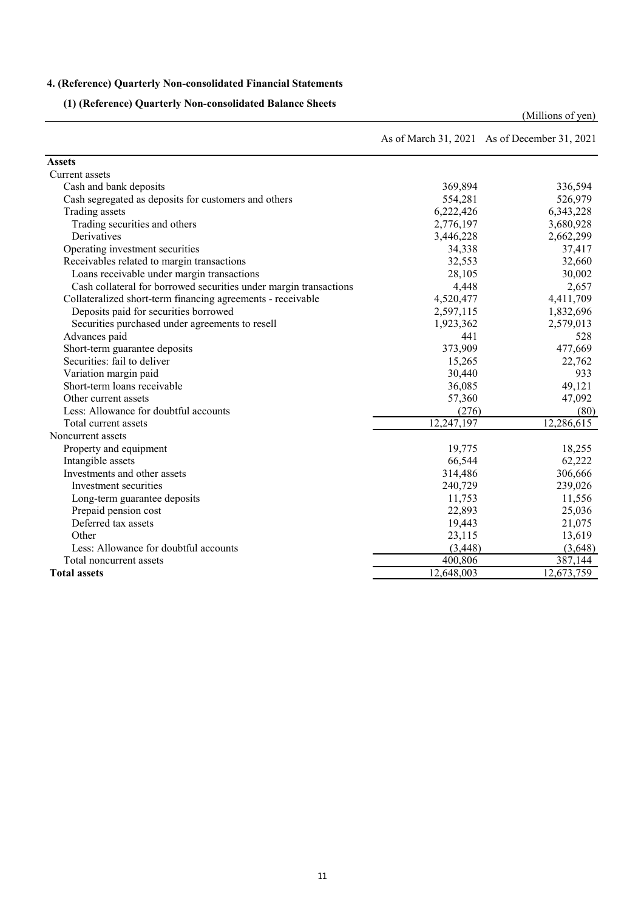## **4. (Reference) Quarterly Non-consolidated Financial Statements**

**(1) (Reference) Quarterly Non-consolidated Balance Sheets**

|                                                                   |            | As of March 31, 2021 As of December 31, 2021 |
|-------------------------------------------------------------------|------------|----------------------------------------------|
| <b>Assets</b>                                                     |            |                                              |
| <b>Current</b> assets                                             |            |                                              |
| Cash and bank deposits                                            | 369,894    | 336,594                                      |
| Cash segregated as deposits for customers and others              | 554,281    | 526,979                                      |
| Trading assets                                                    | 6,222,426  | 6,343,228                                    |
| Trading securities and others                                     | 2,776,197  | 3,680,928                                    |
| Derivatives                                                       | 3,446,228  | 2,662,299                                    |
| Operating investment securities                                   | 34,338     | 37,417                                       |
| Receivables related to margin transactions                        | 32,553     | 32,660                                       |
| Loans receivable under margin transactions                        | 28,105     | 30,002                                       |
| Cash collateral for borrowed securities under margin transactions | 4,448      | 2,657                                        |
| Collateralized short-term financing agreements - receivable       | 4,520,477  | 4,411,709                                    |
| Deposits paid for securities borrowed                             | 2,597,115  | 1,832,696                                    |
| Securities purchased under agreements to resell                   | 1,923,362  | 2,579,013                                    |
| Advances paid                                                     | 441        | 528                                          |
| Short-term guarantee deposits                                     | 373,909    | 477,669                                      |
| Securities: fail to deliver                                       | 15,265     | 22,762                                       |
| Variation margin paid                                             | 30,440     | 933                                          |
| Short-term loans receivable                                       | 36,085     | 49,121                                       |
| Other current assets                                              | 57,360     | 47,092                                       |
| Less: Allowance for doubtful accounts                             | (276)      | (80)                                         |
| Total current assets                                              | 12,247,197 | 12,286,615                                   |
| Noncurrent assets                                                 |            |                                              |
| Property and equipment                                            | 19,775     | 18,255                                       |
| Intangible assets                                                 | 66,544     | 62,222                                       |
| Investments and other assets                                      | 314,486    | 306,666                                      |
| Investment securities                                             | 240,729    | 239,026                                      |
| Long-term guarantee deposits                                      | 11,753     | 11,556                                       |
| Prepaid pension cost                                              | 22,893     | 25,036                                       |
| Deferred tax assets                                               | 19,443     | 21,075                                       |
| Other                                                             | 23,115     | 13,619                                       |
| Less: Allowance for doubtful accounts                             | (3, 448)   | (3,648)                                      |
| Total noncurrent assets                                           | 400,806    | 387,144                                      |
| <b>Total assets</b>                                               | 12,648,003 | 12,673,759                                   |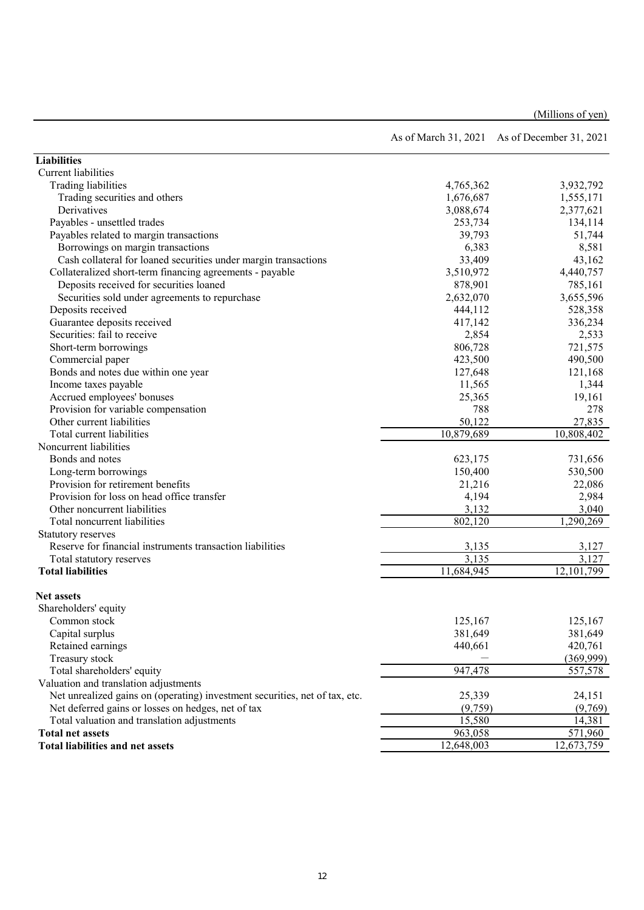|                                                                             |                | As of March 31, 2021 As of December 31, 2021 |
|-----------------------------------------------------------------------------|----------------|----------------------------------------------|
| <b>Liabilities</b>                                                          |                |                                              |
| Current liabilities                                                         |                |                                              |
| Trading liabilities                                                         | 4,765,362      | 3,932,792                                    |
| Trading securities and others                                               | 1,676,687      | 1,555,171                                    |
| Derivatives                                                                 | 3,088,674      | 2,377,621                                    |
| Payables - unsettled trades                                                 | 253,734        | 134,114                                      |
| Payables related to margin transactions                                     | 39,793         | 51,744                                       |
| Borrowings on margin transactions                                           | 6,383          | 8,581                                        |
| Cash collateral for loaned securities under margin transactions             | 33,409         | 43,162                                       |
| Collateralized short-term financing agreements - payable                    | 3,510,972      | 4,440,757                                    |
| Deposits received for securities loaned                                     | 878,901        | 785,161                                      |
| Securities sold under agreements to repurchase                              | 2,632,070      | 3,655,596                                    |
| Deposits received                                                           | 444,112        | 528,358                                      |
| Guarantee deposits received                                                 | 417,142        | 336,234                                      |
| Securities: fail to receive                                                 | 2,854          | 2,533                                        |
| Short-term borrowings                                                       | 806,728        | 721,575                                      |
| Commercial paper                                                            | 423,500        | 490,500                                      |
| Bonds and notes due within one year                                         | 127,648        | 121,168                                      |
| Income taxes payable                                                        | 11,565         | 1,344                                        |
| Accrued employees' bonuses                                                  | 25,365         | 19,161                                       |
| Provision for variable compensation                                         | 788            | 278                                          |
| Other current liabilities                                                   | 50,122         | 27,835                                       |
| Total current liabilities                                                   | 10,879,689     | $\overline{10,808,402}$                      |
| Noncurrent liabilities                                                      |                |                                              |
| Bonds and notes                                                             | 623,175        | 731,656                                      |
| Long-term borrowings                                                        | 150,400        | 530,500                                      |
| Provision for retirement benefits                                           | 21,216         | 22,086                                       |
| Provision for loss on head office transfer                                  | 4,194          | 2,984                                        |
| Other noncurrent liabilities                                                | 3,132          |                                              |
| Total noncurrent liabilities                                                | 802,120        | 3,040                                        |
|                                                                             |                | 1,290,269                                    |
| Statutory reserves                                                          |                |                                              |
| Reserve for financial instruments transaction liabilities                   | 3,135<br>3,135 | 3,127<br>3,127                               |
| Total statutory reserves                                                    | 11,684,945     | 12,101,799                                   |
| <b>Total liabilities</b>                                                    |                |                                              |
| <b>Net assets</b>                                                           |                |                                              |
| Shareholders' equity                                                        |                |                                              |
| Common stock                                                                | 125,167        | 125,167                                      |
| Capital surplus                                                             | 381,649        | 381,649                                      |
| Retained earnings                                                           | 440,661        | 420,761                                      |
| Treasury stock                                                              |                | (369, 999)                                   |
| Total shareholders' equity                                                  | 947,478        | 557,578                                      |
| Valuation and translation adjustments                                       |                |                                              |
| Net unrealized gains on (operating) investment securities, net of tax, etc. | 25,339         | 24,151                                       |
| Net deferred gains or losses on hedges, net of tax                          | (9,759)        | (9,769)                                      |
| Total valuation and translation adjustments                                 | 15,580         | 14,381                                       |
| <b>Total net assets</b>                                                     | 963,058        | 571,960                                      |
| <b>Total liabilities and net assets</b>                                     | 12,648,003     | 12,673,759                                   |